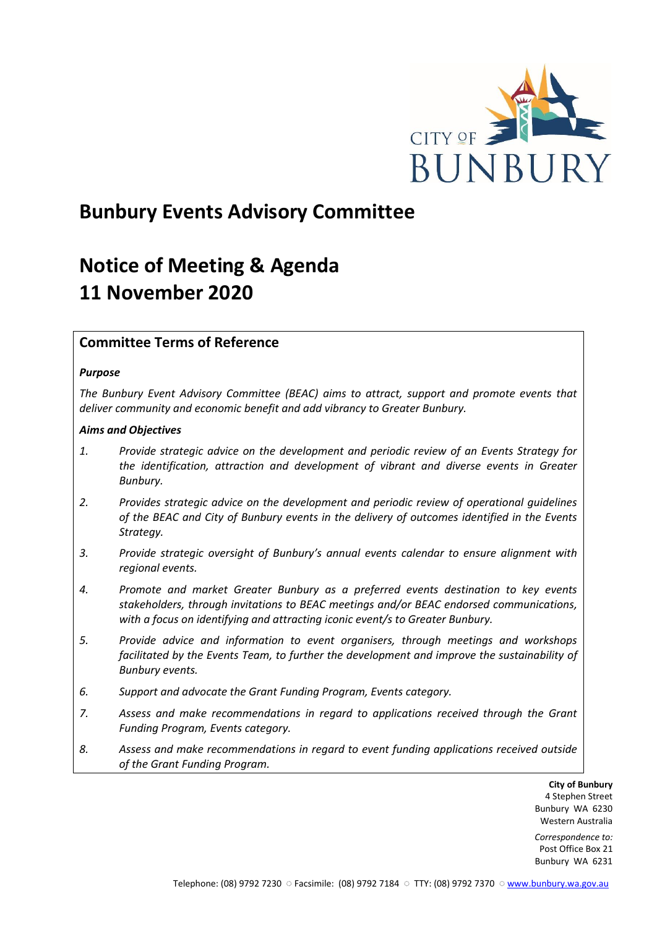

## **Bunbury Events Advisory Committee**

# **Notice of Meeting & Agenda 11 November 2020**

## **Committee Terms of Reference**

## *Purpose*

*The Bunbury Event Advisory Committee (BEAC) aims to attract, support and promote events that deliver community and economic benefit and add vibrancy to Greater Bunbury.*

## *Aims and Objectives*

- *1. Provide strategic advice on the development and periodic review of an Events Strategy for the identification, attraction and development of vibrant and diverse events in Greater Bunbury.*
- *2. Provides strategic advice on the development and periodic review of operational guidelines of the BEAC and City of Bunbury events in the delivery of outcomes identified in the Events Strategy.*
- *3. Provide strategic oversight of Bunbury's annual events calendar to ensure alignment with regional events.*
- *4. Promote and market Greater Bunbury as a preferred events destination to key events stakeholders, through invitations to BEAC meetings and/or BEAC endorsed communications, with a focus on identifying and attracting iconic event/s to Greater Bunbury.*
- *5. Provide advice and information to event organisers, through meetings and workshops*  facilitated by the Events Team, to further the development and improve the sustainability of *Bunbury events.*
- *6. Support and advocate the Grant Funding Program, Events category.*
- *7. Assess and make recommendations in regard to applications received through the Grant Funding Program, Events category.*
- *8. Assess and make recommendations in regard to event funding applications received outside of the Grant Funding Program.*

**City of Bunbury** 4 Stephen Street Bunbury WA 6230 Western Australia

*Correspondence to:* Post Office Box 21 Bunbury WA 6231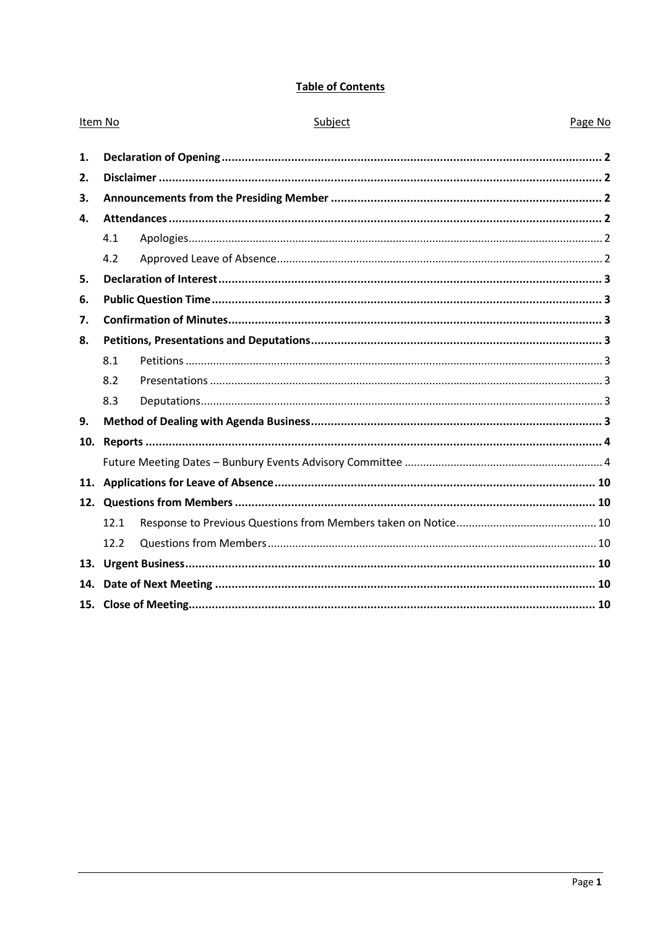## **Table of Contents**

| Item No |      | Subject | Page No |
|---------|------|---------|---------|
| 1.      |      |         |         |
| 2.      |      |         |         |
| 3.      |      |         |         |
| 4.      |      |         |         |
|         | 4.1  |         |         |
|         | 4.2  |         |         |
| 5.      |      |         |         |
| 6.      |      |         |         |
| 7.      |      |         |         |
| 8.      |      |         |         |
|         | 8.1  |         |         |
|         | 8.2  |         |         |
|         | 8.3  |         |         |
| 9.      |      |         |         |
| 10.     |      |         |         |
|         |      |         |         |
| 11.     |      |         |         |
|         |      |         |         |
|         | 12.1 |         |         |
|         | 12.2 |         |         |
| 13.     |      |         |         |
| 14.     |      |         |         |
|         |      |         |         |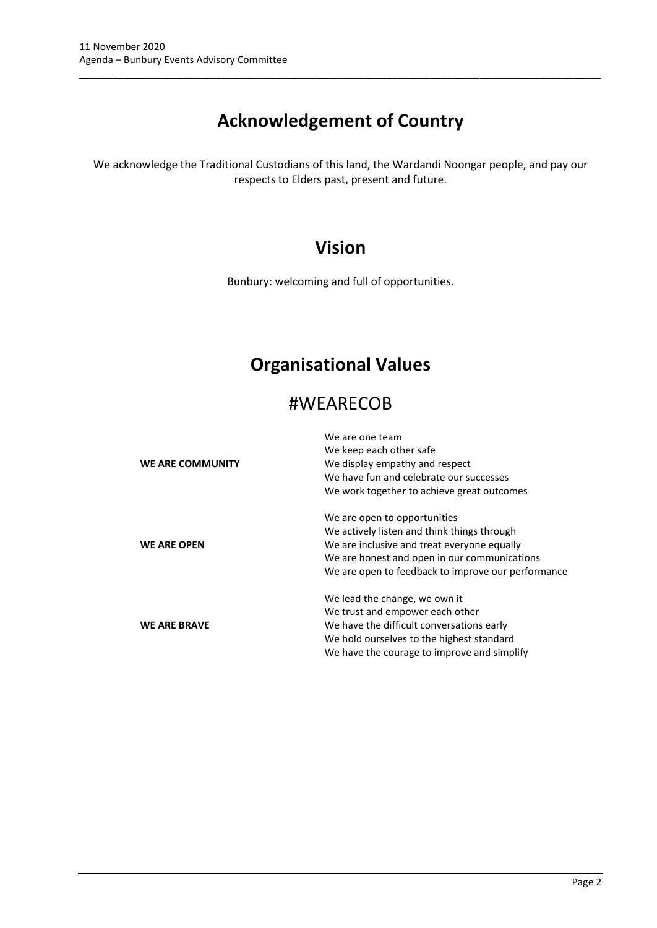# **Acknowledgement of Country**

\_\_\_\_\_\_\_\_\_\_\_\_\_\_\_\_\_\_\_\_\_\_\_\_\_\_\_\_\_\_\_\_\_\_\_\_\_\_\_\_\_\_\_\_\_\_\_\_\_\_\_\_\_\_\_\_\_\_\_\_\_\_\_\_\_\_\_\_\_\_\_\_\_\_\_\_\_\_\_\_\_\_\_\_\_\_\_\_\_\_\_\_\_\_\_

We acknowledge the Traditional Custodians of this land, the Wardandi Noongar people, and pay our respects to Elders past, present and future.

## **Vision**

Bunbury: welcoming and full of opportunities.

## **Organisational Values**

## #WEARECOB

|                     | We are one team                                    |
|---------------------|----------------------------------------------------|
|                     | We keep each other safe                            |
| WE ARE COMMUNITY    | We display empathy and respect                     |
|                     | We have fun and celebrate our successes            |
|                     | We work together to achieve great outcomes         |
|                     | We are open to opportunities                       |
|                     | We actively listen and think things through        |
| <b>WE ARE OPEN</b>  | We are inclusive and treat everyone equally        |
|                     | We are honest and open in our communications       |
|                     | We are open to feedback to improve our performance |
|                     | We lead the change, we own it                      |
|                     | We trust and empower each other                    |
| <b>WE ARE BRAVE</b> | We have the difficult conversations early          |
|                     | We hold ourselves to the highest standard          |
|                     | We have the courage to improve and simplify        |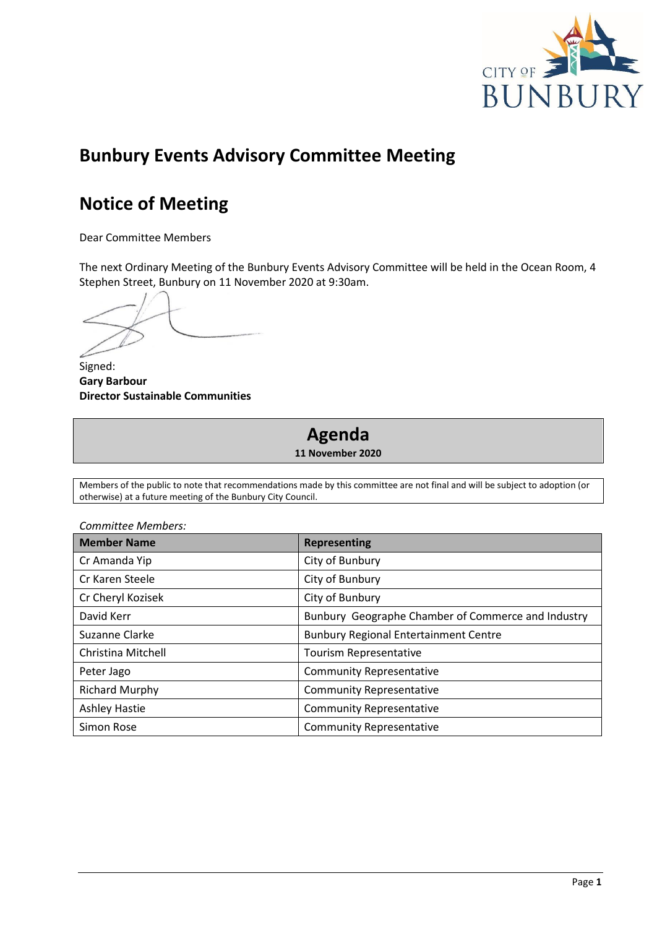

## **Bunbury Events Advisory Committee Meeting**

## **Notice of Meeting**

Dear Committee Members

The next Ordinary Meeting of the Bunbury Events Advisory Committee will be held in the Ocean Room, 4 Stephen Street, Bunbury on 11 November 2020 at 9:30am.

Signed: **Gary Barbour Director Sustainable Communities**

# **Agenda**

**11 November 2020**

Members of the public to note that recommendations made by this committee are not final and will be subject to adoption (or otherwise) at a future meeting of the Bunbury City Council.

| <b>Member Name</b>    | <b>Representing</b>                                |
|-----------------------|----------------------------------------------------|
| Cr Amanda Yip         | City of Bunbury                                    |
| Cr Karen Steele       | City of Bunbury                                    |
| Cr Cheryl Kozisek     | City of Bunbury                                    |
| David Kerr            | Bunbury Geographe Chamber of Commerce and Industry |
| Suzanne Clarke        | <b>Bunbury Regional Entertainment Centre</b>       |
| Christina Mitchell    | Tourism Representative                             |
| Peter Jago            | <b>Community Representative</b>                    |
| <b>Richard Murphy</b> | <b>Community Representative</b>                    |
| <b>Ashley Hastie</b>  | <b>Community Representative</b>                    |
| Simon Rose            | <b>Community Representative</b>                    |

*Committee Members:*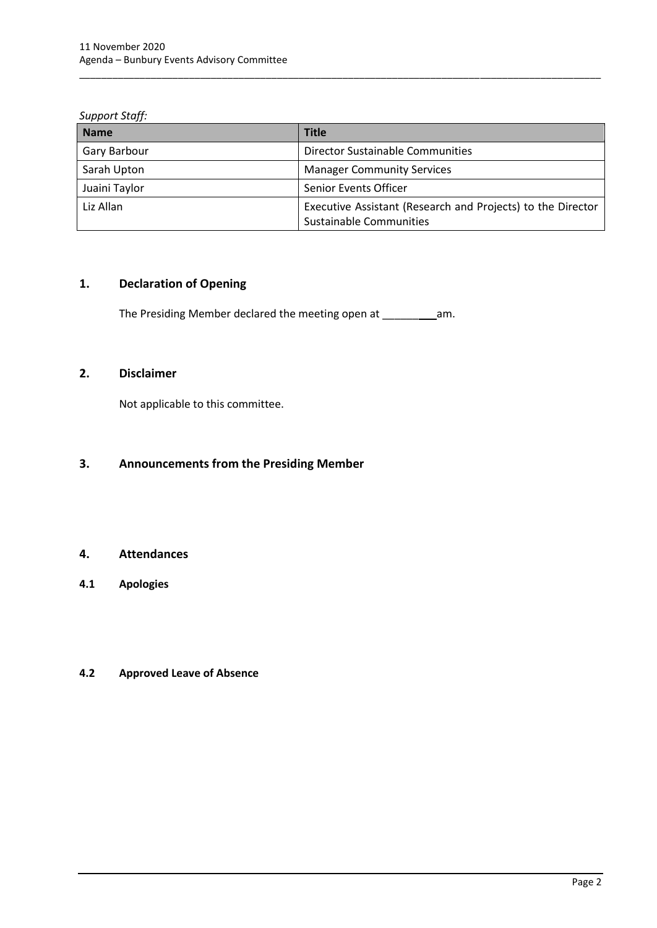#### *Support Staff:*

| <b>Name</b>   | <b>Title</b>                                                                           |
|---------------|----------------------------------------------------------------------------------------|
| Gary Barbour  | <b>Director Sustainable Communities</b>                                                |
| Sarah Upton   | <b>Manager Community Services</b>                                                      |
| Juaini Taylor | Senior Events Officer                                                                  |
| Liz Allan     | Executive Assistant (Research and Projects) to the Director<br>Sustainable Communities |

\_\_\_\_\_\_\_\_\_\_\_\_\_\_\_\_\_\_\_\_\_\_\_\_\_\_\_\_\_\_\_\_\_\_\_\_\_\_\_\_\_\_\_\_\_\_\_\_\_\_\_\_\_\_\_\_\_\_\_\_\_\_\_\_\_\_\_\_\_\_\_\_\_\_\_\_\_\_\_\_\_\_\_\_\_\_\_\_\_\_\_\_\_\_\_

## <span id="page-4-0"></span>**1. Declaration of Opening**

The Presiding Member declared the meeting open at \_\_\_\_\_\_ am.

## <span id="page-4-1"></span>**2. Disclaimer**

Not applicable to this committee.

## <span id="page-4-2"></span>**3. Announcements from the Presiding Member**

## <span id="page-4-3"></span>**4. Attendances**

<span id="page-4-4"></span>**4.1 Apologies**

## <span id="page-4-5"></span>**4.2 Approved Leave of Absence**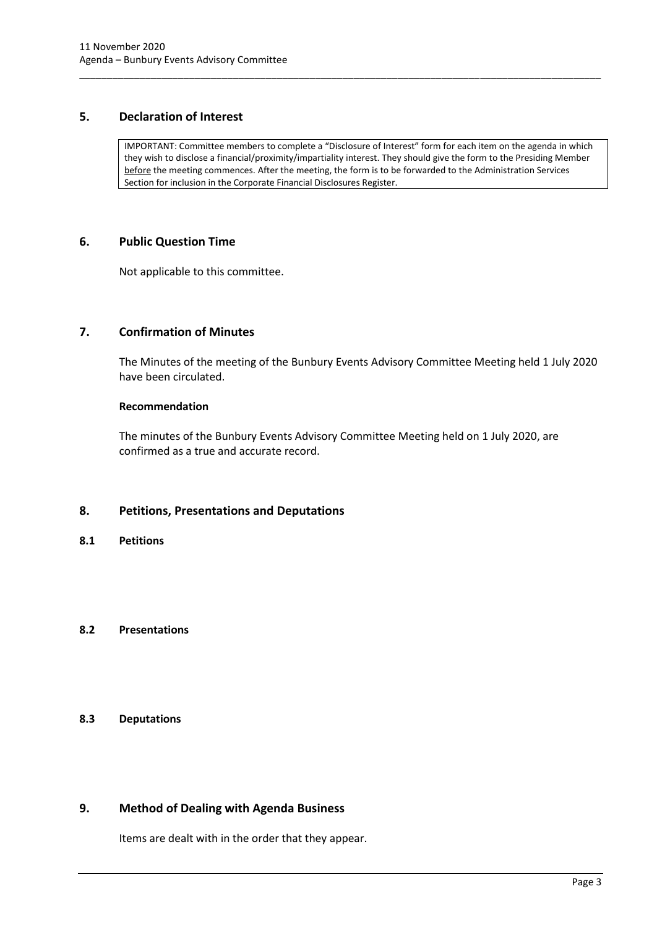## <span id="page-5-0"></span>**5. Declaration of Interest**

IMPORTANT: Committee members to complete a "Disclosure of Interest" form for each item on the agenda in which they wish to disclose a financial/proximity/impartiality interest. They should give the form to the Presiding Member before the meeting commences. After the meeting, the form is to be forwarded to the Administration Services Section for inclusion in the Corporate Financial Disclosures Register.

\_\_\_\_\_\_\_\_\_\_\_\_\_\_\_\_\_\_\_\_\_\_\_\_\_\_\_\_\_\_\_\_\_\_\_\_\_\_\_\_\_\_\_\_\_\_\_\_\_\_\_\_\_\_\_\_\_\_\_\_\_\_\_\_\_\_\_\_\_\_\_\_\_\_\_\_\_\_\_\_\_\_\_\_\_\_\_\_\_\_\_\_\_\_\_

## <span id="page-5-1"></span>**6. Public Question Time**

Not applicable to this committee.

## <span id="page-5-2"></span>**7. Confirmation of Minutes**

The Minutes of the meeting of the Bunbury Events Advisory Committee Meeting held 1 July 2020 have been circulated.

#### **Recommendation**

The minutes of the Bunbury Events Advisory Committee Meeting held on 1 July 2020, are confirmed as a true and accurate record.

## <span id="page-5-3"></span>**8. Petitions, Presentations and Deputations**

<span id="page-5-4"></span>**8.1 Petitions**

## <span id="page-5-5"></span>**8.2 Presentations**

## <span id="page-5-6"></span>**8.3 Deputations**

## <span id="page-5-7"></span>**9. Method of Dealing with Agenda Business**

Items are dealt with in the order that they appear.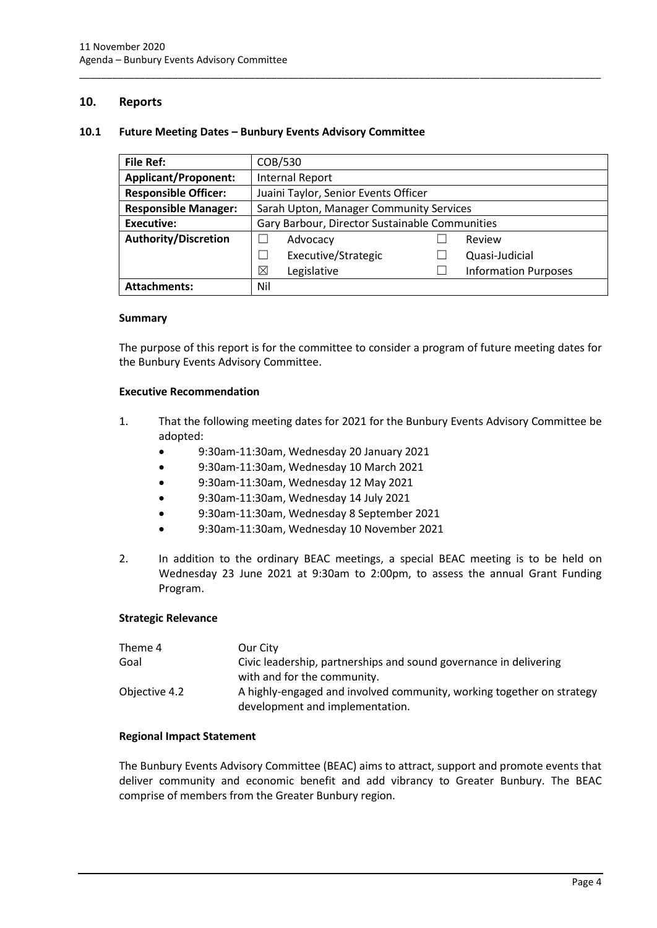## <span id="page-6-0"></span>**10. Reports**

#### **10.1 Future Meeting Dates – Bunbury Events Advisory Committee**

<span id="page-6-1"></span>

| <b>File Ref:</b>            | COB/530                                        |  |                             |  |
|-----------------------------|------------------------------------------------|--|-----------------------------|--|
| <b>Applicant/Proponent:</b> | <b>Internal Report</b>                         |  |                             |  |
| <b>Responsible Officer:</b> | Juaini Taylor, Senior Events Officer           |  |                             |  |
| <b>Responsible Manager:</b> | Sarah Upton, Manager Community Services        |  |                             |  |
| <b>Executive:</b>           | Gary Barbour, Director Sustainable Communities |  |                             |  |
| <b>Authority/Discretion</b> | Advocacy                                       |  | Review                      |  |
|                             | Executive/Strategic                            |  | Quasi-Judicial              |  |
|                             | ⊠<br>Legislative                               |  | <b>Information Purposes</b> |  |
| <b>Attachments:</b>         | Nil                                            |  |                             |  |

\_\_\_\_\_\_\_\_\_\_\_\_\_\_\_\_\_\_\_\_\_\_\_\_\_\_\_\_\_\_\_\_\_\_\_\_\_\_\_\_\_\_\_\_\_\_\_\_\_\_\_\_\_\_\_\_\_\_\_\_\_\_\_\_\_\_\_\_\_\_\_\_\_\_\_\_\_\_\_\_\_\_\_\_\_\_\_\_\_\_\_\_\_\_\_

#### **Summary**

The purpose of this report is for the committee to consider a program of future meeting dates for the Bunbury Events Advisory Committee.

#### **Executive Recommendation**

- 1. That the following meeting dates for 2021 for the Bunbury Events Advisory Committee be adopted:
	- 9:30am-11:30am, Wednesday 20 January 2021
	- 9:30am-11:30am, Wednesday 10 March 2021
	- 9:30am-11:30am, Wednesday 12 May 2021
	- 9:30am-11:30am, Wednesday 14 July 2021
	- 9:30am-11:30am, Wednesday 8 September 2021
	- 9:30am-11:30am, Wednesday 10 November 2021
- 2. In addition to the ordinary BEAC meetings, a special BEAC meeting is to be held on Wednesday 23 June 2021 at 9:30am to 2:00pm, to assess the annual Grant Funding Program.

#### **Strategic Relevance**

| Theme 4       | Our City                                                                                                 |
|---------------|----------------------------------------------------------------------------------------------------------|
| Goal          | Civic leadership, partnerships and sound governance in delivering                                        |
|               | with and for the community.                                                                              |
| Objective 4.2 | A highly-engaged and involved community, working together on strategy<br>development and implementation. |

#### **Regional Impact Statement**

The Bunbury Events Advisory Committee (BEAC) aims to attract, support and promote events that deliver community and economic benefit and add vibrancy to Greater Bunbury. The BEAC comprise of members from the Greater Bunbury region.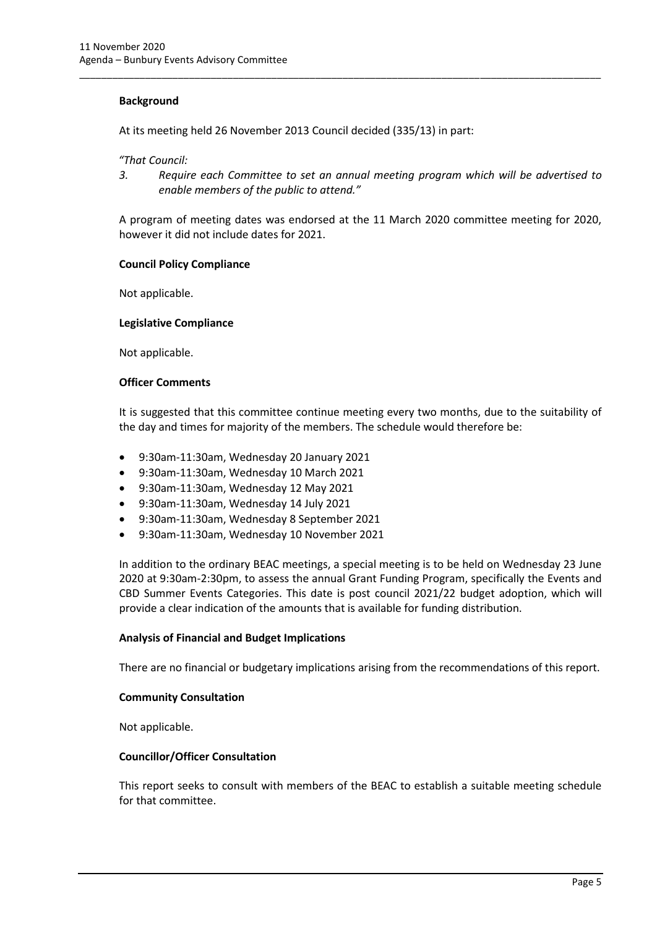#### **Background**

At its meeting held 26 November 2013 Council decided (335/13) in part:

*"That Council:*

*3. Require each Committee to set an annual meeting program which will be advertised to enable members of the public to attend."*

\_\_\_\_\_\_\_\_\_\_\_\_\_\_\_\_\_\_\_\_\_\_\_\_\_\_\_\_\_\_\_\_\_\_\_\_\_\_\_\_\_\_\_\_\_\_\_\_\_\_\_\_\_\_\_\_\_\_\_\_\_\_\_\_\_\_\_\_\_\_\_\_\_\_\_\_\_\_\_\_\_\_\_\_\_\_\_\_\_\_\_\_\_\_\_

A program of meeting dates was endorsed at the 11 March 2020 committee meeting for 2020, however it did not include dates for 2021.

#### **Council Policy Compliance**

Not applicable.

#### **Legislative Compliance**

Not applicable.

#### **Officer Comments**

It is suggested that this committee continue meeting every two months, due to the suitability of the day and times for majority of the members. The schedule would therefore be:

- 9:30am-11:30am, Wednesday 20 January 2021
- 9:30am-11:30am, Wednesday 10 March 2021
- 9:30am-11:30am, Wednesday 12 May 2021
- 9:30am-11:30am, Wednesday 14 July 2021
- 9:30am-11:30am, Wednesday 8 September 2021
- 9:30am-11:30am, Wednesday 10 November 2021

In addition to the ordinary BEAC meetings, a special meeting is to be held on Wednesday 23 June 2020 at 9:30am-2:30pm, to assess the annual Grant Funding Program, specifically the Events and CBD Summer Events Categories. This date is post council 2021/22 budget adoption, which will provide a clear indication of the amounts that is available for funding distribution.

#### **Analysis of Financial and Budget Implications**

There are no financial or budgetary implications arising from the recommendations of this report.

#### **Community Consultation**

Not applicable.

#### **Councillor/Officer Consultation**

This report seeks to consult with members of the BEAC to establish a suitable meeting schedule for that committee.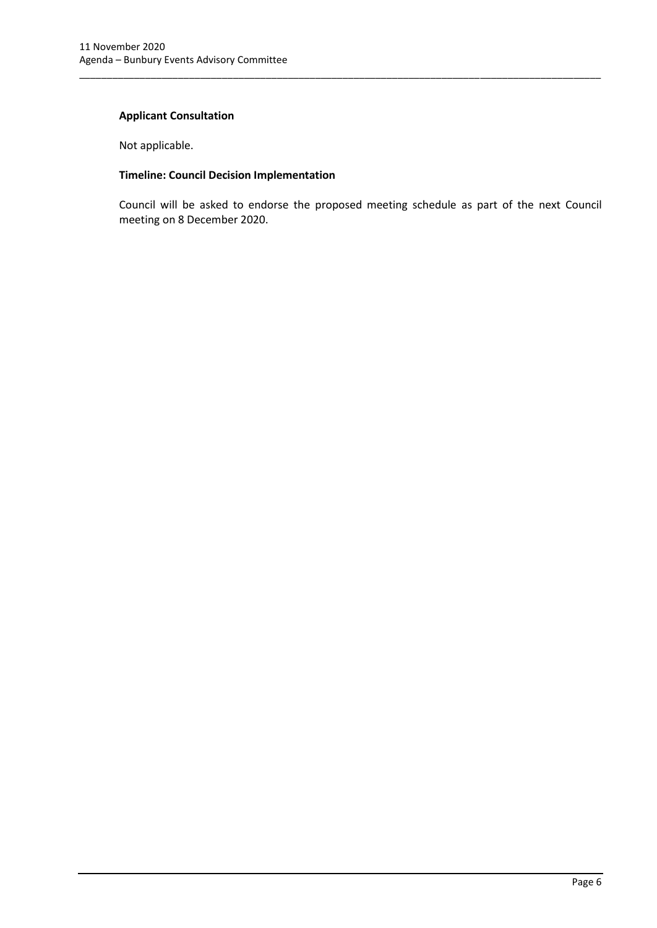## **Applicant Consultation**

Not applicable.

## **Timeline: Council Decision Implementation**

Council will be asked to endorse the proposed meeting schedule as part of the next Council meeting on 8 December 2020.

\_\_\_\_\_\_\_\_\_\_\_\_\_\_\_\_\_\_\_\_\_\_\_\_\_\_\_\_\_\_\_\_\_\_\_\_\_\_\_\_\_\_\_\_\_\_\_\_\_\_\_\_\_\_\_\_\_\_\_\_\_\_\_\_\_\_\_\_\_\_\_\_\_\_\_\_\_\_\_\_\_\_\_\_\_\_\_\_\_\_\_\_\_\_\_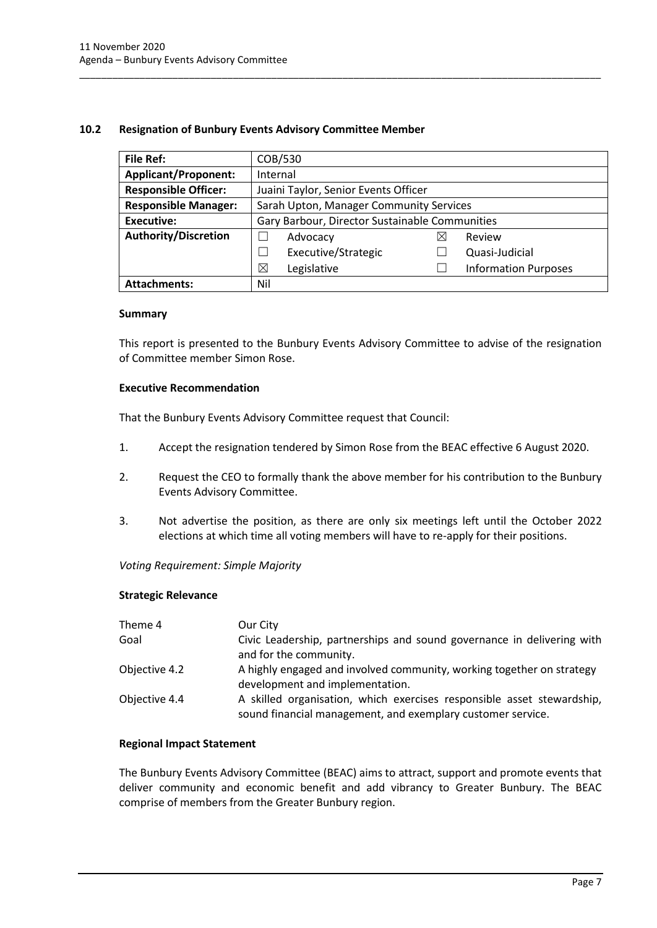### **10.2 Resignation of Bunbury Events Advisory Committee Member**

| <b>File Ref:</b>            | COB/530                                        |   |                             |  |
|-----------------------------|------------------------------------------------|---|-----------------------------|--|
| <b>Applicant/Proponent:</b> | Internal                                       |   |                             |  |
| <b>Responsible Officer:</b> | Juaini Taylor, Senior Events Officer           |   |                             |  |
| <b>Responsible Manager:</b> | Sarah Upton, Manager Community Services        |   |                             |  |
| <b>Executive:</b>           | Gary Barbour, Director Sustainable Communities |   |                             |  |
| <b>Authority/Discretion</b> | Advocacy                                       | ⋈ | Review                      |  |
|                             | Executive/Strategic                            |   | Quasi-Judicial              |  |
|                             | ⊠<br>Legislative                               |   | <b>Information Purposes</b> |  |
| <b>Attachments:</b>         | Nil                                            |   |                             |  |

\_\_\_\_\_\_\_\_\_\_\_\_\_\_\_\_\_\_\_\_\_\_\_\_\_\_\_\_\_\_\_\_\_\_\_\_\_\_\_\_\_\_\_\_\_\_\_\_\_\_\_\_\_\_\_\_\_\_\_\_\_\_\_\_\_\_\_\_\_\_\_\_\_\_\_\_\_\_\_\_\_\_\_\_\_\_\_\_\_\_\_\_\_\_\_

#### **Summary**

This report is presented to the Bunbury Events Advisory Committee to advise of the resignation of Committee member Simon Rose.

#### **Executive Recommendation**

That the Bunbury Events Advisory Committee request that Council:

- 1. Accept the resignation tendered by Simon Rose from the BEAC effective 6 August 2020.
- 2. Request the CEO to formally thank the above member for his contribution to the Bunbury Events Advisory Committee.
- 3. Not advertise the position, as there are only six meetings left until the October 2022 elections at which time all voting members will have to re-apply for their positions.

#### *Voting Requirement: Simple Majority*

#### **Strategic Relevance**

| Theme 4       | Our City                                                                                                                              |
|---------------|---------------------------------------------------------------------------------------------------------------------------------------|
| Goal          | Civic Leadership, partnerships and sound governance in delivering with<br>and for the community.                                      |
| Objective 4.2 | A highly engaged and involved community, working together on strategy<br>development and implementation.                              |
| Objective 4.4 | A skilled organisation, which exercises responsible asset stewardship,<br>sound financial management, and exemplary customer service. |

## **Regional Impact Statement**

The Bunbury Events Advisory Committee (BEAC) aims to attract, support and promote events that deliver community and economic benefit and add vibrancy to Greater Bunbury. The BEAC comprise of members from the Greater Bunbury region.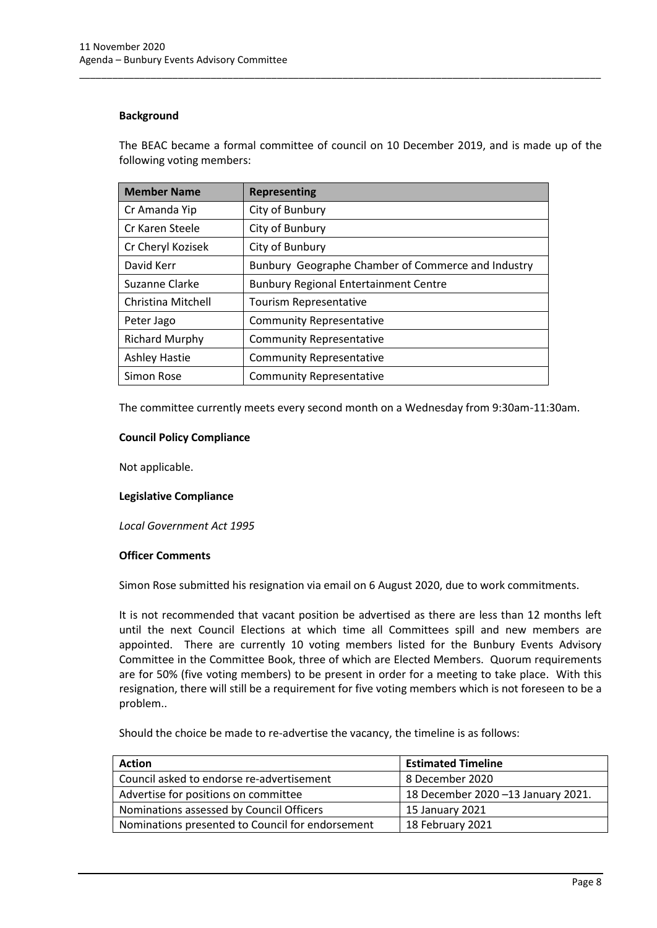#### **Background**

The BEAC became a formal committee of council on 10 December 2019, and is made up of the following voting members:

\_\_\_\_\_\_\_\_\_\_\_\_\_\_\_\_\_\_\_\_\_\_\_\_\_\_\_\_\_\_\_\_\_\_\_\_\_\_\_\_\_\_\_\_\_\_\_\_\_\_\_\_\_\_\_\_\_\_\_\_\_\_\_\_\_\_\_\_\_\_\_\_\_\_\_\_\_\_\_\_\_\_\_\_\_\_\_\_\_\_\_\_\_\_\_

| <b>Member Name</b>    | <b>Representing</b>                                |  |
|-----------------------|----------------------------------------------------|--|
| Cr Amanda Yip         | City of Bunbury                                    |  |
| Cr Karen Steele       | City of Bunbury                                    |  |
| Cr Cheryl Kozisek     | City of Bunbury                                    |  |
| David Kerr            | Bunbury Geographe Chamber of Commerce and Industry |  |
| Suzanne Clarke        | <b>Bunbury Regional Entertainment Centre</b>       |  |
| Christina Mitchell    | Tourism Representative                             |  |
| Peter Jago            | <b>Community Representative</b>                    |  |
| <b>Richard Murphy</b> | <b>Community Representative</b>                    |  |
| <b>Ashley Hastie</b>  | <b>Community Representative</b>                    |  |
| Simon Rose            | <b>Community Representative</b>                    |  |

The committee currently meets every second month on a Wednesday from 9:30am-11:30am.

#### **Council Policy Compliance**

Not applicable.

#### **Legislative Compliance**

*Local Government Act 1995*

#### **Officer Comments**

Simon Rose submitted his resignation via email on 6 August 2020, due to work commitments.

It is not recommended that vacant position be advertised as there are less than 12 months left until the next Council Elections at which time all Committees spill and new members are appointed. There are currently 10 voting members listed for the Bunbury Events Advisory Committee in the Committee Book, three of which are Elected Members. Quorum requirements are for 50% (five voting members) to be present in order for a meeting to take place. With this resignation, there will still be a requirement for five voting members which is not foreseen to be a problem..

Should the choice be made to re-advertise the vacancy, the timeline is as follows:

| <b>Action</b>                                    | <b>Estimated Timeline</b>          |
|--------------------------------------------------|------------------------------------|
| Council asked to endorse re-advertisement        | 8 December 2020                    |
| Advertise for positions on committee             | 18 December 2020 -13 January 2021. |
| Nominations assessed by Council Officers         | 15 January 2021                    |
| Nominations presented to Council for endorsement | 18 February 2021                   |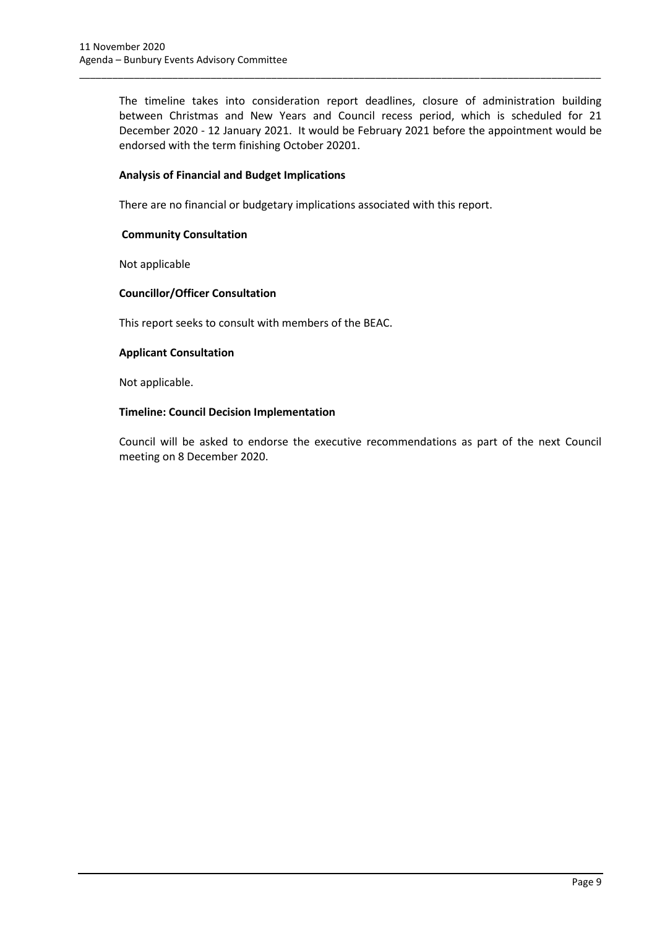The timeline takes into consideration report deadlines, closure of administration building between Christmas and New Years and Council recess period, which is scheduled for 21 December 2020 - 12 January 2021. It would be February 2021 before the appointment would be endorsed with the term finishing October 20201.

\_\_\_\_\_\_\_\_\_\_\_\_\_\_\_\_\_\_\_\_\_\_\_\_\_\_\_\_\_\_\_\_\_\_\_\_\_\_\_\_\_\_\_\_\_\_\_\_\_\_\_\_\_\_\_\_\_\_\_\_\_\_\_\_\_\_\_\_\_\_\_\_\_\_\_\_\_\_\_\_\_\_\_\_\_\_\_\_\_\_\_\_\_\_\_

### **Analysis of Financial and Budget Implications**

There are no financial or budgetary implications associated with this report.

### **Community Consultation**

Not applicable

## **Councillor/Officer Consultation**

This report seeks to consult with members of the BEAC.

#### **Applicant Consultation**

Not applicable.

#### **Timeline: Council Decision Implementation**

Council will be asked to endorse the executive recommendations as part of the next Council meeting on 8 December 2020.